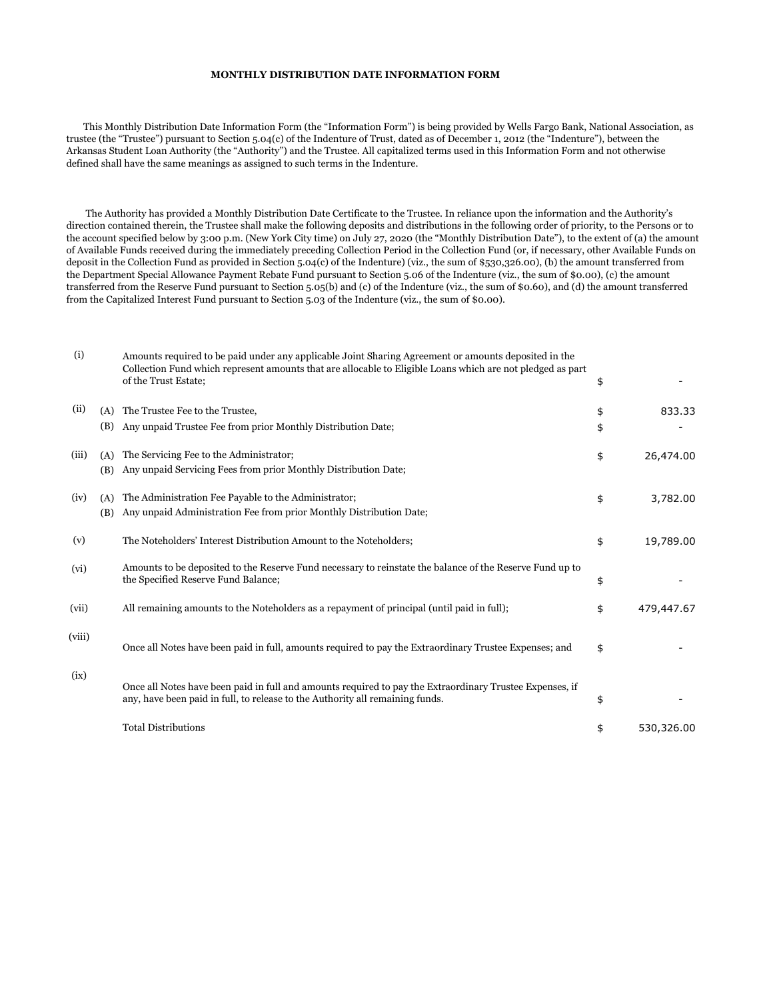## **MONTHLY DISTRIBUTION DATE INFORMATION FORM**

 This Monthly Distribution Date Information Form (the "Information Form") is being provided by Wells Fargo Bank, National Association, as trustee (the "Trustee") pursuant to Section 5.04(c) of the Indenture of Trust, dated as of December 1, 2012 (the "Indenture"), between the Arkansas Student Loan Authority (the "Authority") and the Trustee. All capitalized terms used in this Information Form and not otherwise defined shall have the same meanings as assigned to such terms in the Indenture.

 The Authority has provided a Monthly Distribution Date Certificate to the Trustee. In reliance upon the information and the Authority's direction contained therein, the Trustee shall make the following deposits and distributions in the following order of priority, to the Persons or to the account specified below by 3:00 p.m. (New York City time) on July 27, 2020 (the "Monthly Distribution Date"), to the extent of (a) the amount of Available Funds received during the immediately preceding Collection Period in the Collection Fund (or, if necessary, other Available Funds on deposit in the Collection Fund as provided in Section 5.04(c) of the Indenture) (viz., the sum of \$530,326.00), (b) the amount transferred from the Department Special Allowance Payment Rebate Fund pursuant to Section 5.06 of the Indenture (viz., the sum of \$0.00), (c) the amount transferred from the Reserve Fund pursuant to Section 5.05(b) and (c) of the Indenture (viz., the sum of \$0.60), and (d) the amount transferred from the Capitalized Interest Fund pursuant to Section 5.03 of the Indenture (viz., the sum of \$0.00).

| (i)    |            | Amounts required to be paid under any applicable Joint Sharing Agreement or amounts deposited in the<br>Collection Fund which represent amounts that are allocable to Eligible Loans which are not pledged as part<br>of the Trust Estate; | \$       |            |
|--------|------------|--------------------------------------------------------------------------------------------------------------------------------------------------------------------------------------------------------------------------------------------|----------|------------|
| (ii)   | (A)<br>(B) | The Trustee Fee to the Trustee.<br>Any unpaid Trustee Fee from prior Monthly Distribution Date;                                                                                                                                            | \$<br>\$ | 833.33     |
| (iii)  | (A)<br>(B) | The Servicing Fee to the Administrator;<br>Any unpaid Servicing Fees from prior Monthly Distribution Date;                                                                                                                                 | \$       | 26,474.00  |
| (iv)   | (A)<br>(B) | The Administration Fee Payable to the Administrator;<br>Any unpaid Administration Fee from prior Monthly Distribution Date;                                                                                                                | \$       | 3,782.00   |
| (v)    |            | The Noteholders' Interest Distribution Amount to the Noteholders;                                                                                                                                                                          | \$       | 19,789.00  |
| (vi)   |            | Amounts to be deposited to the Reserve Fund necessary to reinstate the balance of the Reserve Fund up to<br>the Specified Reserve Fund Balance;                                                                                            | \$       |            |
| (vii)  |            | All remaining amounts to the Noteholders as a repayment of principal (until paid in full);                                                                                                                                                 | \$       | 479,447.67 |
| (viii) |            | Once all Notes have been paid in full, amounts required to pay the Extraordinary Trustee Expenses; and                                                                                                                                     | \$       |            |
| (ix)   |            | Once all Notes have been paid in full and amounts required to pay the Extraordinary Trustee Expenses, if<br>any, have been paid in full, to release to the Authority all remaining funds.                                                  | \$       |            |
|        |            | <b>Total Distributions</b>                                                                                                                                                                                                                 | \$       | 530,326.00 |